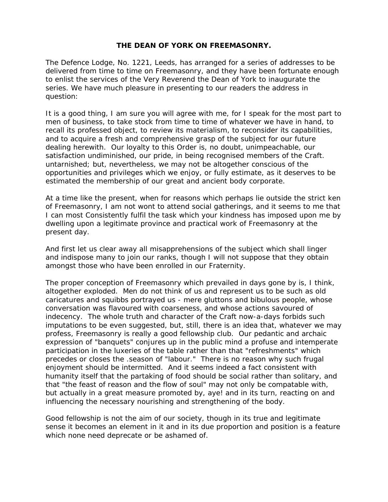## **THE DEAN OF YORK ON FREEMASONRY.**

The Defence Lodge, No. 1221, Leeds, has arranged for a series of addresses to be delivered from time to time on Freemasonry, and they have been fortunate enough to enlist the services of the Very Reverend the Dean of York to inaugurate the series. We have much pleasure in presenting to our readers the address in question:

It is a good thing, I am sure you will agree with me, for I speak for the most part to men of business, to take stock from time to time of whatever we have in hand, to recall its professed object, to review its materialism, to reconsider its capabilities, and to acquire a fresh and comprehensive grasp of the subject for our future dealing herewith. Our loyalty to this Order is, no doubt, unimpeachable, our satisfaction undiminished, our pride, in being recognised members of the Craft. untarnished; but, nevertheless, we may not be altogether conscious of the opportunities and privileges which we enjoy, or fully estimate, as it deserves to be estimated the membership of our great and ancient body corporate.

At a time like the present, when for reasons which perhaps lie outside the strict ken of Freemasonry, I am not wont to attend social gatherings, and it seems to me that I can most Consistently fulfil the task which your kindness has imposed upon me by dwelling upon a legitimate province and practical work of Freemasonry at the present day.

And first let us clear away all misapprehensions of the subject which shall linger and indispose many to join our ranks, though I will not suppose that they obtain amongst those who have been enrolled in our Fraternity.

The proper conception of Freemasonry which prevailed in days gone by is, I think, altogether exploded. Men do not think of us and represent us to be such as old caricatures and squibbs portrayed us - mere gluttons and bibulous people, whose conversation was flavoured with coarseness, and whose actions savoured of indecency. The whole truth and character of the Craft now-a-days forbids such imputations to be even suggested, but, still, there is an idea that, whatever we may profess, Freemasonry is really a good fellowship club. Our pedantic and archaic expression of "banquets" conjures up in the public mind a profuse and intemperate participation in the luxeries of the table rather than that "refreshments" which precedes or closes the .season of "labour." There is no reason why such frugal enjoyment should be intermitted. And it seems indeed a fact consistent with humanity itself that the partaking of food should be social rather than solitary, and that "the feast of reason and the flow of soul" may not only be compatable with, but actually in a great measure promoted by, aye! and in its turn, reacting on and influencing the necessary nourishing and strengthening of the body.

Good fellowship is not the aim of our society, though in its true and legitimate sense it becomes an element in it and in its due proportion and position is a feature which none need deprecate or be ashamed of.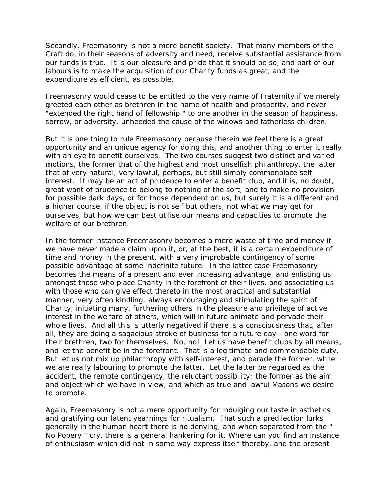Secondly, Freemasonry is not a mere benefit society. That many members of the Craft do, in their seasons of adversity and need, receive substantial assistance from our funds is true. It is our pleasure and pride that it should be so, and part of our labours is to make the acquisition of our Charity funds as great, and the expenditure as efficient, as possible.

Freemasonry would cease to be entitled to the very name of Fraternity if we merely greeted each other as brethren in the name of health and prosperity, and never "extended the right hand of fellowship " to one another in the season of happiness, sorrow, or adversity, unheeded the cause of the widows and fatherless children.

But it is one thing to rule Freemasonry because therein we feel there is a great opportunity and an unique agency for doing this, and another thing to enter it really with an eye to benefit ourselves. The two courses suggest two distinct and varied motions, the former that of the highest and most unselfish philanthropy, the latter that of very natural, very lawful, perhaps, but still simply commonplace self interest. It may be an act of prudence to enter a benefit club, and it is, no doubt, great want of prudence to belong to nothing of the sort, and to make no provision for possible dark days, or for those dependent on us, but surely it is a different and a higher course, if the object is not self but others, not what we may get for ourselves, but how we can best utilise our means and capacities to promote the welfare of our brethren.

In the former instance Freemasonry becomes a mere waste of time and money if we have never made a claim upon it, or, at the best, it is a certain expenditure of time and money in the present, with a very improbable contingency of some possible advantage at some indefinite future. In the latter case Freemasonry becomes the means of a present and ever increasing advantage, and enlisting us amongst those who place Charity in the forefront of their lives, and associating us with those who can give effect thereto in the most practical and substantial manner, very often kindling, always encouraging and stimulating the spirit of Charity, initiating many, furthering others in the pleasure and privilege of active interest in the welfare of others, which will in future animate and pervade their whole lives. And all this is utterly negatived if there is a consciousness that, after all, they are doing a sagacious stroke of business for a future day - one word for their brethren, two for themselves. No, no! Let us have benefit clubs by all means, and let the benefit be in the forefront. That is a legitimate and commendable duty. But let us not mix up philanthropy with self-interest, and parade the former, while we are really labouring to promote the latter. Let the latter be regarded as the accident, the remote contingency, the reluctant possibility; the former as the aim and object which we have in view, and which as true and lawful Masons we desire to promote.

Again, Freemasonry is not a mere opportunity for indulging our taste in asthetics and gratifying our latent yearnings for ritualism. That such a predilection lurks generally in the human heart there is no denying, and when separated from the " No Popery " cry, there is a general hankering for it. Where can you find an instance of enthusiasm which did not in some way express itself thereby, and the present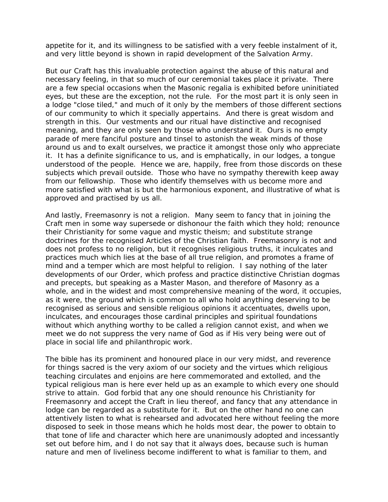appetite for it, and its willingness to be satisfied with a very feeble instalment of it, and very little beyond is shown in rapid development of the Salvation Army.

But our Craft has this invaluable protection against the abuse of this natural and necessary feeling, in that so much of our ceremonial takes place it private. There are a few special occasions when the Masonic regalia is exhibited before uninitiated eyes, but these are the exception, not the rule. For the most part it is only seen in a lodge "close tiled," and much of it only by the members of those different sections of our community to which it specially appertains. And there is great wisdom and strength in this. Our vestments and our ritual have distinctive and recognised meaning, and they are only seen by those who understand it. Ours is no empty parade of mere fanciful posture and tinsel to astonish the weak minds of those around us and to exalt ourselves, we practice it amongst those only who appreciate it. It has a definite significance to us, and is emphatically, in our lodges, a tongue understood of the people. Hence we are, happily, free from those discords on these subjects which prevail outside. Those who have no sympathy therewith keep away from our fellowship. Those who identify themselves with us become more and more satisfied with what is but the harmonious exponent, and illustrative of what is approved and practised by us all.

And lastly, Freemasonry is not a religion. Many seem to fancy that in joining the Craft men in some way supersede or dishonour the faith which they hold; renounce their Christianity for some vague and mystic theism; and substitute strange doctrines for the recognised Articles of the Christian faith. Freemasonry is not and does not profess to no religion, but it recognises religious truths, it inculcates and practices much which lies at the base of all true religion, and promotes a frame of mind and a temper which are most helpful to religion. I say nothing of the later developments of our Order, which profess and practice distinctive Christian dogmas and precepts, but speaking as a Master Mason, and therefore of Masonry as a whole, and in the widest and most comprehensive meaning of the word, it occupies, as it were, the ground which is common to all who hold anything deserving to be recognised as serious and sensible religious opinions it accentuates, dwells upon, inculcates, and encourages those cardinal principles and spiritual foundations without which anything worthy to be called a religion cannot exist, and when we meet we do not suppress the very name of God as if His very being were out of place in social life and philanthropic work.

The bible has its prominent and honoured place in our very midst, and reverence for things sacred is the very axiom of our society and the virtues which religious teaching circulates and enjoins are here commemorated and extolled, and the typical religious man is here ever held up as an example to which every one should strive to attain. God forbid that any one should renounce his Christianity for Freemasonry and accept the Craft in lieu thereof, and fancy that any attendance in lodge can be regarded as a substitute for it. But on the other hand no one can attentively listen to what is rehearsed and advocated here without feeling the more disposed to seek in those means which he holds most dear, the power to obtain to that tone of life and character which here are unanimously adopted and incessantly set out before him, and I do not say that it always does, because such is human nature and men of liveliness become indifferent to what is familiar to them, and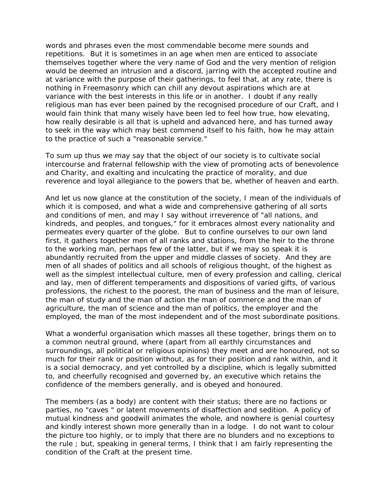words and phrases even the most commendable become mere sounds and repetitions. But it is sometimes in an age when men are enticed to associate themselves together where the very name of God and the very mention of religion would be deemed an intrusion and a discord, jarring with the accepted routine and at variance with the purpose of their gatherings, to feel that, at any rate, there is nothing in Freemasonry which can chill any devout aspirations which are at variance with the best interests in this life or in another. I doubt if any really religious man has ever been pained by the recognised procedure of our Craft, and I would fain think that many wisely have been led to feel how true, how elevating, how really desirable is all that is upheld and advanced here, and has turned away to seek in the way which may best commend itself to his faith, how he may attain to the practice of such a "reasonable service."

To sum up thus we may say that the object of our society is to cultivate social intercourse and fraternal fellowship with the view of promoting acts of benevolence and Charity, and exalting and inculcating the practice of morality, and due reverence and loyal allegiance to the powers that be, whether of heaven and earth.

And let us now glance at the constitution of the society, I mean of the individuals of which it is composed, and what a wide and comprehensive gathering of all sorts and conditions of men, and may I say without irreverence of "all nations, and kindreds, and peoples, and tongues," for it embraces almost every nationality and permeates every quarter of the globe. But to confine ourselves to our own land first, it gathers together men of all ranks and stations, from the heir to the throne to the working man, perhaps few of the latter, but if we may so speak it is abundantly recruited from the upper and middle classes of society. And they are men of all shades of politics and all schools of religious thought, of the highest as well as the simplest intellectual culture, men of every profession and calling, clerical and lay, men of different temperaments and dispositions of varied gifts, of various professions, the richest to the poorest, the man of business and the man of leisure, the man of study and the man of action the man of commerce and the man of agriculture, the man of science and the man of politics, the employer and the employed, the man of the most independent and of the most subordinate positions.

What a wonderful organisation which masses all these together, brings them on to a common neutral ground, where (apart from all earthly circumstances and surroundings, all political or religious opinions) they meet and are honoured, not so much for their rank or position without, as for their position and rank within, and it is a social democracy, and yet controlled by a discipline, which is legally submitted to, and cheerfully recognised and governed by, an executive which retains the confidence of the members generally, and is obeyed and honoured.

The members (as a body) are content with their status; there are no factions or parties, no "caves " or latent movements of disaffection and sedition. A policy of mutual kindness and goodwill animates the whole, and nowhere is genial courtesy and kindly interest shown more generally than in a lodge. I do not want to colour the picture too highly, or to imply that there are no blunders and no exceptions to the rule ; but, speaking in general terms, I think that I am fairly representing the condition of the Craft at the present time.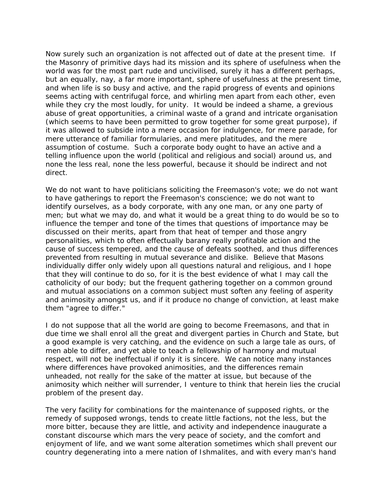Now surely such an organization is not affected out of date at the present time. If the Masonry of primitive days had its mission and its sphere of usefulness when the world was for the most part rude and uncivilised, surely it has a different perhaps, but an equally, nay, a far more important, sphere of usefulness at the present time, and when life is so busy and active, and the rapid progress of events and opinions seems acting with centrifugal force, and whirling men apart from each other, even while they cry the most loudly, for unity. It would be indeed a shame, a grevious abuse of great opportunities, a criminal waste of a grand and intricate organisation (which seems to have been permitted to grow together for some great purpose), if it was allowed to subside into a mere occasion for indulgence, for mere parade, for mere utterance of familiar formularies, and mere platitudes, and the mere assumption of costume. Such a corporate body ought to have an active and a telling influence upon the world (political and religious and social) around us, and none the less real, none the less powerful, because it should be indirect and not direct.

We do not want to have politicians soliciting the Freemason's vote; we do not want to have gatherings to report the Freemason's conscience; we do not want to identify ourselves, as a body corporate, with any one man, or any one party of men; but what we may do, and what it would be a great thing to do would be so to influence the temper and tone of the times that questions of importance may be discussed on their merits, apart from that heat of temper and those angry personalities, which to often effectually barany really profitable action and the cause of success tempered, and the cause of defeats soothed, and thus differences prevented from resulting in mutual severance and dislike. Believe that Masons individually differ only widely upon all questions natural and religious, and I hope that they will continue to do so, for it is the best evidence of what I may call the catholicity of our body; but the frequent gathering together on a common ground and mutual associations on a common subject must soften any feeling of asperity and animosity amongst us, and if it produce no change of conviction, at least make them "agree to differ."

I do not suppose that all the world are going to become Freemasons, and that in due time we shall enrol all the great and divergent parties in Church and State, but a good example is very catching, and the evidence on such a large tale as ours, of men able to differ, and yet able to teach a fellowship of harmony and mutual respect, will not be ineffectual if only it is sincere. We can notice many instances where differences have provoked animosities, and the differences remain unheaded, not really for the sake of the matter at issue, but because of the animosity which neither will surrender, I venture to think that herein lies the crucial problem of the present day.

The very facility for combinations for the maintenance of supposed rights, or the remedy of supposed wrongs, tends to create little factions, not the less, but the more bitter, because they are little, and activity and independence inaugurate a constant discourse which mars the very peace of society, and the comfort and enjoyment of life, and we want some alteration sometimes which shall prevent our country degenerating into a mere nation of Ishmalites, and with every man's hand